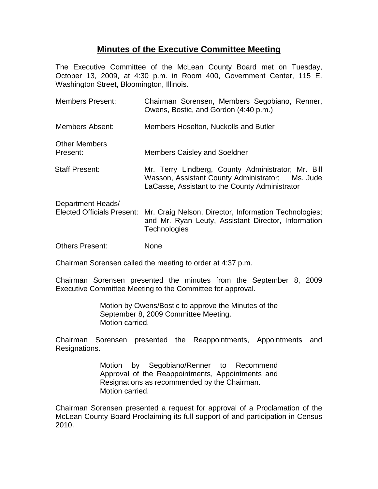# **Minutes of the Executive Committee Meeting**

The Executive Committee of the McLean County Board met on Tuesday, October 13, 2009, at 4:30 p.m. in Room 400, Government Center, 115 E. Washington Street, Bloomington, Illinois.

| <b>Members Present:</b>                                | Chairman Sorensen, Members Segobiano, Renner,<br>Owens, Bostic, and Gordon (4:40 p.m.)                                                                   |
|--------------------------------------------------------|----------------------------------------------------------------------------------------------------------------------------------------------------------|
| Members Absent:                                        | Members Hoselton, Nuckolls and Butler                                                                                                                    |
| <b>Other Members</b><br>Present:                       | <b>Members Caisley and Soeldner</b>                                                                                                                      |
| <b>Staff Present:</b>                                  | Mr. Terry Lindberg, County Administrator; Mr. Bill<br>Wasson, Assistant County Administrator; Ms. Jude<br>LaCasse, Assistant to the County Administrator |
| Department Heads/<br><b>Elected Officials Present:</b> | Mr. Craig Nelson, Director, Information Technologies;<br>and Mr. Ryan Leuty, Assistant Director, Information<br>Technologies                             |
| <b>Others Present:</b>                                 | None                                                                                                                                                     |

Chairman Sorensen called the meeting to order at 4:37 p.m.

Chairman Sorensen presented the minutes from the September 8, 2009 Executive Committee Meeting to the Committee for approval.

> Motion by Owens/Bostic to approve the Minutes of the September 8, 2009 Committee Meeting. Motion carried.

Chairman Sorensen presented the Reappointments, Appointments and Resignations.

> Motion by Segobiano/Renner to Recommend Approval of the Reappointments, Appointments and Resignations as recommended by the Chairman. Motion carried.

Chairman Sorensen presented a request for approval of a Proclamation of the McLean County Board Proclaiming its full support of and participation in Census 2010.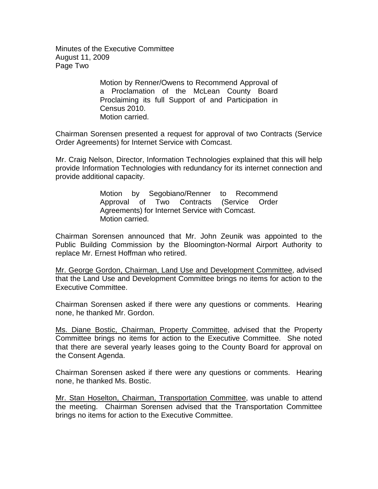Minutes of the Executive Committee August 11, 2009 Page Two

> Motion by Renner/Owens to Recommend Approval of a Proclamation of the McLean County Board Proclaiming its full Support of and Participation in Census 2010. Motion carried.

Chairman Sorensen presented a request for approval of two Contracts (Service Order Agreements) for Internet Service with Comcast.

Mr. Craig Nelson, Director, Information Technologies explained that this will help provide Information Technologies with redundancy for its internet connection and provide additional capacity.

> Motion by Segobiano/Renner to Recommend Approval of Two Contracts (Service Order Agreements) for Internet Service with Comcast. Motion carried.

Chairman Sorensen announced that Mr. John Zeunik was appointed to the Public Building Commission by the Bloomington-Normal Airport Authority to replace Mr. Ernest Hoffman who retired.

Mr. George Gordon, Chairman, Land Use and Development Committee, advised that the Land Use and Development Committee brings no items for action to the Executive Committee.

Chairman Sorensen asked if there were any questions or comments. Hearing none, he thanked Mr. Gordon.

Ms. Diane Bostic, Chairman, Property Committee, advised that the Property Committee brings no items for action to the Executive Committee. She noted that there are several yearly leases going to the County Board for approval on the Consent Agenda.

Chairman Sorensen asked if there were any questions or comments. Hearing none, he thanked Ms. Bostic.

Mr. Stan Hoselton, Chairman, Transportation Committee, was unable to attend the meeting. Chairman Sorensen advised that the Transportation Committee brings no items for action to the Executive Committee.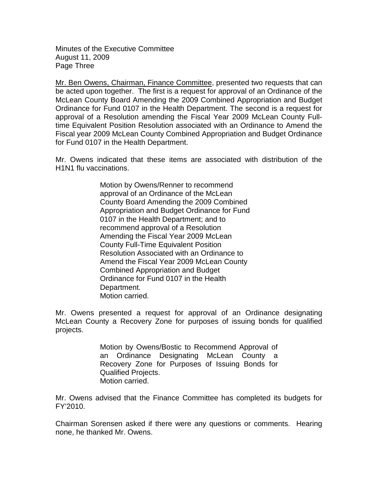Minutes of the Executive Committee August 11, 2009 Page Three

Mr. Ben Owens, Chairman, Finance Committee, presented two requests that can be acted upon together. The first is a request for approval of an Ordinance of the McLean County Board Amending the 2009 Combined Appropriation and Budget Ordinance for Fund 0107 in the Health Department. The second is a request for approval of a Resolution amending the Fiscal Year 2009 McLean County Fulltime Equivalent Position Resolution associated with an Ordinance to Amend the Fiscal year 2009 McLean County Combined Appropriation and Budget Ordinance for Fund 0107 in the Health Department.

Mr. Owens indicated that these items are associated with distribution of the H1N1 flu vaccinations.

> Motion by Owens/Renner to recommend approval of an Ordinance of the McLean County Board Amending the 2009 Combined Appropriation and Budget Ordinance for Fund 0107 in the Health Department; and to recommend approval of a Resolution Amending the Fiscal Year 2009 McLean County Full-Time Equivalent Position Resolution Associated with an Ordinance to Amend the Fiscal Year 2009 McLean County Combined Appropriation and Budget Ordinance for Fund 0107 in the Health Department. Motion carried.

Mr. Owens presented a request for approval of an Ordinance designating McLean County a Recovery Zone for purposes of issuing bonds for qualified projects.

> Motion by Owens/Bostic to Recommend Approval of an Ordinance Designating McLean County a Recovery Zone for Purposes of Issuing Bonds for Qualified Projects. Motion carried.

Mr. Owens advised that the Finance Committee has completed its budgets for FY'2010.

Chairman Sorensen asked if there were any questions or comments. Hearing none, he thanked Mr. Owens.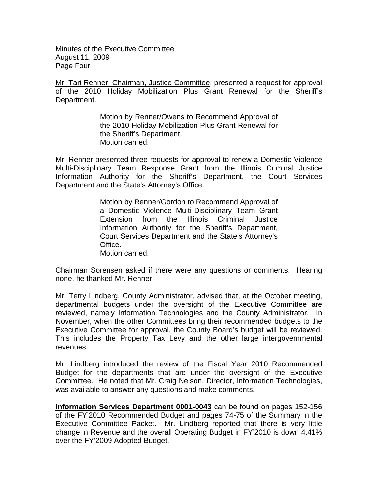Minutes of the Executive Committee August 11, 2009 Page Four

Mr. Tari Renner, Chairman, Justice Committee, presented a request for approval of the 2010 Holiday Mobilization Plus Grant Renewal for the Sheriff's Department.

> Motion by Renner/Owens to Recommend Approval of the 2010 Holiday Mobilization Plus Grant Renewal for the Sheriff's Department. Motion carried.

Mr. Renner presented three requests for approval to renew a Domestic Violence Multi-Disciplinary Team Response Grant from the Illinois Criminal Justice Information Authority for the Sheriff's Department, the Court Services Department and the State's Attorney's Office.

> Motion by Renner/Gordon to Recommend Approval of a Domestic Violence Multi-Disciplinary Team Grant Extension from the Illinois Criminal Justice Information Authority for the Sheriff's Department, Court Services Department and the State's Attorney's Office. Motion carried.

Chairman Sorensen asked if there were any questions or comments. Hearing none, he thanked Mr. Renner.

Mr. Terry Lindberg, County Administrator, advised that, at the October meeting, departmental budgets under the oversight of the Executive Committee are reviewed, namely Information Technologies and the County Administrator. In November, when the other Committees bring their recommended budgets to the Executive Committee for approval, the County Board's budget will be reviewed. This includes the Property Tax Levy and the other large intergovernmental revenues.

Mr. Lindberg introduced the review of the Fiscal Year 2010 Recommended Budget for the departments that are under the oversight of the Executive Committee. He noted that Mr. Craig Nelson, Director, Information Technologies, was available to answer any questions and make comments.

**Information Services Department 0001-0043** can be found on pages 152-156 of the FY'2010 Recommended Budget and pages 74-75 of the Summary in the Executive Committee Packet. Mr. Lindberg reported that there is very little change in Revenue and the overall Operating Budget in FY'2010 is down 4.41% over the FY'2009 Adopted Budget.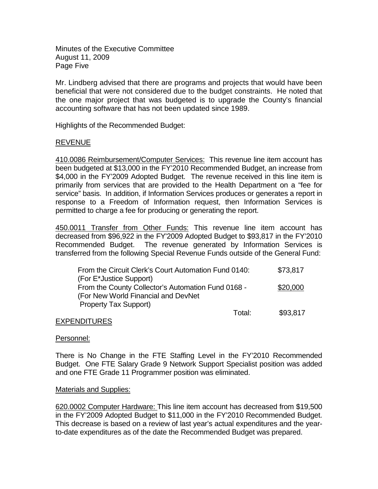Minutes of the Executive Committee August 11, 2009 Page Five

Mr. Lindberg advised that there are programs and projects that would have been beneficial that were not considered due to the budget constraints. He noted that the one major project that was budgeted is to upgrade the County's financial accounting software that has not been updated since 1989.

Highlights of the Recommended Budget:

## REVENUE

410.0086 Reimbursement/Computer Services: This revenue line item account has been budgeted at \$13,000 in the FY'2010 Recommended Budget, an increase from \$4,000 in the FY'2009 Adopted Budget. The revenue received in this line item is primarily from services that are provided to the Health Department on a "fee for service" basis. In addition, if Information Services produces or generates a report in response to a Freedom of Information request, then Information Services is permitted to charge a fee for producing or generating the report.

450.0011 Transfer from Other Funds: This revenue line item account has decreased from \$96,922 in the FY'2009 Adopted Budget to \$93,817 in the FY'2010 Recommended Budget. The revenue generated by Information Services is transferred from the following Special Revenue Funds outside of the General Fund:

| From the Circuit Clerk's Court Automation Fund 0140: |        | \$73,817 |
|------------------------------------------------------|--------|----------|
| (For E*Justice Support)                              |        |          |
| From the County Collector's Automation Fund 0168 -   |        | \$20,000 |
| (For New World Financial and DevNet                  |        |          |
| <b>Property Tax Support)</b>                         |        |          |
|                                                      | Total: | \$93,817 |

#### EXPENDITURES

#### Personnel:

There is No Change in the FTE Staffing Level in the FY'2010 Recommended Budget. One FTE Salary Grade 9 Network Support Specialist position was added and one FTE Grade 11 Programmer position was eliminated.

#### Materials and Supplies:

620.0002 Computer Hardware: This line item account has decreased from \$19,500 in the FY'2009 Adopted Budget to \$11,000 in the FY'2010 Recommended Budget. This decrease is based on a review of last year's actual expenditures and the yearto-date expenditures as of the date the Recommended Budget was prepared.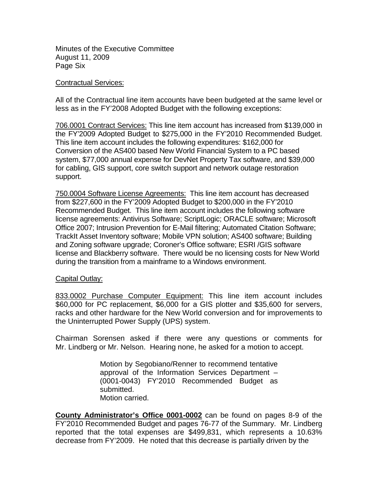Minutes of the Executive Committee August 11, 2009 Page Six

#### Contractual Services:

All of the Contractual line item accounts have been budgeted at the same level or less as in the FY'2008 Adopted Budget with the following exceptions:

706.0001 Contract Services: This line item account has increased from \$139,000 in the FY'2009 Adopted Budget to \$275,000 in the FY'2010 Recommended Budget. This line item account includes the following expenditures: \$162,000 for Conversion of the AS400 based New World Financial System to a PC based system, \$77,000 annual expense for DevNet Property Tax software, and \$39,000 for cabling, GIS support, core switch support and network outage restoration support.

750.0004 Software License Agreements: This line item account has decreased from \$227,600 in the FY'2009 Adopted Budget to \$200,000 in the FY'2010 Recommended Budget. This line item account includes the following software license agreements: Antivirus Software; ScriptLogic; ORACLE software; Microsoft Office 2007; Intrusion Prevention for E-Mail filtering; Automated Citation Software; TrackIt Asset Inventory software; Mobile VPN solution; AS400 software; Building and Zoning software upgrade; Coroner's Office software; ESRI /GIS software license and Blackberry software. There would be no licensing costs for New World during the transition from a mainframe to a Windows environment.

#### Capital Outlay:

833.0002 Purchase Computer Equipment: This line item account includes \$60,000 for PC replacement, \$6,000 for a GIS plotter and \$35,600 for servers, racks and other hardware for the New World conversion and for improvements to the Uninterrupted Power Supply (UPS) system.

Chairman Sorensen asked if there were any questions or comments for Mr. Lindberg or Mr. Nelson. Hearing none, he asked for a motion to accept.

> Motion by Segobiano/Renner to recommend tentative approval of the Information Services Department – (0001-0043) FY'2010 Recommended Budget as submitted. Motion carried.

**County Administrator's Office 0001-0002** can be found on pages 8-9 of the FY'2010 Recommended Budget and pages 76-77 of the Summary. Mr. Lindberg reported that the total expenses are \$499,831, which represents a 10.63% decrease from FY'2009. He noted that this decrease is partially driven by the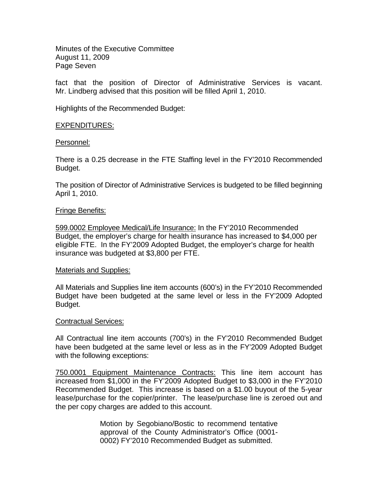Minutes of the Executive Committee August 11, 2009 Page Seven

fact that the position of Director of Administrative Services is vacant. Mr. Lindberg advised that this position will be filled April 1, 2010.

Highlights of the Recommended Budget:

## EXPENDITURES:

#### Personnel:

There is a 0.25 decrease in the FTE Staffing level in the FY'2010 Recommended Budget.

The position of Director of Administrative Services is budgeted to be filled beginning April 1, 2010.

#### Fringe Benefits:

599.0002 Employee Medical/Life Insurance: In the FY'2010 Recommended Budget, the employer's charge for health insurance has increased to \$4,000 per eligible FTE. In the FY'2009 Adopted Budget, the employer's charge for health insurance was budgeted at \$3,800 per FTE.

#### Materials and Supplies:

All Materials and Supplies line item accounts (600's) in the FY'2010 Recommended Budget have been budgeted at the same level or less in the FY'2009 Adopted Budget.

#### Contractual Services:

All Contractual line item accounts (700's) in the FY'2010 Recommended Budget have been budgeted at the same level or less as in the FY'2009 Adopted Budget with the following exceptions:

750.0001 Equipment Maintenance Contracts: This line item account has increased from \$1,000 in the FY'2009 Adopted Budget to \$3,000 in the FY'2010 Recommended Budget. This increase is based on a \$1.00 buyout of the 5-year lease/purchase for the copier/printer. The lease/purchase line is zeroed out and the per copy charges are added to this account.

> Motion by Segobiano/Bostic to recommend tentative approval of the County Administrator's Office (0001- 0002) FY'2010 Recommended Budget as submitted.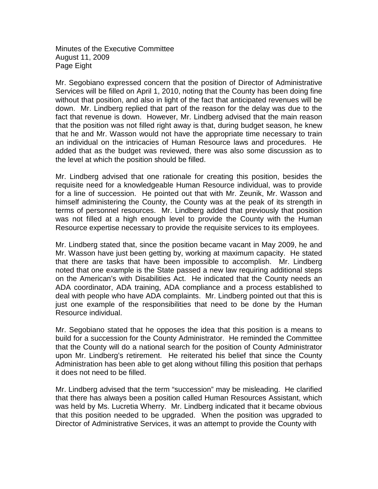Minutes of the Executive Committee August 11, 2009 Page Eight

Mr. Segobiano expressed concern that the position of Director of Administrative Services will be filled on April 1, 2010, noting that the County has been doing fine without that position, and also in light of the fact that anticipated revenues will be down. Mr. Lindberg replied that part of the reason for the delay was due to the fact that revenue is down. However, Mr. Lindberg advised that the main reason that the position was not filled right away is that, during budget season, he knew that he and Mr. Wasson would not have the appropriate time necessary to train an individual on the intricacies of Human Resource laws and procedures. He added that as the budget was reviewed, there was also some discussion as to the level at which the position should be filled.

Mr. Lindberg advised that one rationale for creating this position, besides the requisite need for a knowledgeable Human Resource individual, was to provide for a line of succession. He pointed out that with Mr. Zeunik, Mr. Wasson and himself administering the County, the County was at the peak of its strength in terms of personnel resources. Mr. Lindberg added that previously that position was not filled at a high enough level to provide the County with the Human Resource expertise necessary to provide the requisite services to its employees.

Mr. Lindberg stated that, since the position became vacant in May 2009, he and Mr. Wasson have just been getting by, working at maximum capacity. He stated that there are tasks that have been impossible to accomplish. Mr. Lindberg noted that one example is the State passed a new law requiring additional steps on the American's with Disabilities Act. He indicated that the County needs an ADA coordinator, ADA training, ADA compliance and a process established to deal with people who have ADA complaints. Mr. Lindberg pointed out that this is just one example of the responsibilities that need to be done by the Human Resource individual.

Mr. Segobiano stated that he opposes the idea that this position is a means to build for a succession for the County Administrator. He reminded the Committee that the County will do a national search for the position of County Administrator upon Mr. Lindberg's retirement. He reiterated his belief that since the County Administration has been able to get along without filling this position that perhaps it does not need to be filled.

Mr. Lindberg advised that the term "succession" may be misleading. He clarified that there has always been a position called Human Resources Assistant, which was held by Ms. Lucretia Wherry. Mr. Lindberg indicated that it became obvious that this position needed to be upgraded. When the position was upgraded to Director of Administrative Services, it was an attempt to provide the County with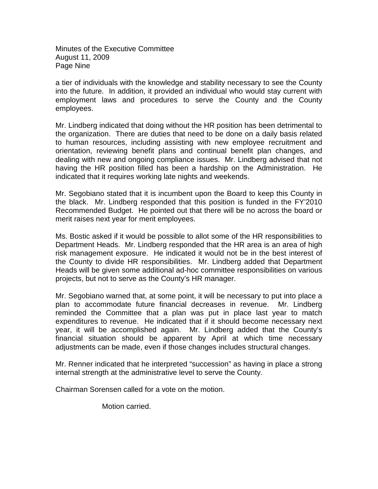Minutes of the Executive Committee August 11, 2009 Page Nine

a tier of individuals with the knowledge and stability necessary to see the County into the future. In addition, it provided an individual who would stay current with employment laws and procedures to serve the County and the County employees.

Mr. Lindberg indicated that doing without the HR position has been detrimental to the organization. There are duties that need to be done on a daily basis related to human resources, including assisting with new employee recruitment and orientation, reviewing benefit plans and continual benefit plan changes, and dealing with new and ongoing compliance issues. Mr. Lindberg advised that not having the HR position filled has been a hardship on the Administration. He indicated that it requires working late nights and weekends.

Mr. Segobiano stated that it is incumbent upon the Board to keep this County in the black. Mr. Lindberg responded that this position is funded in the FY'2010 Recommended Budget. He pointed out that there will be no across the board or merit raises next year for merit employees.

Ms. Bostic asked if it would be possible to allot some of the HR responsibilities to Department Heads. Mr. Lindberg responded that the HR area is an area of high risk management exposure. He indicated it would not be in the best interest of the County to divide HR responsibilities. Mr. Lindberg added that Department Heads will be given some additional ad-hoc committee responsibilities on various projects, but not to serve as the County's HR manager.

Mr. Segobiano warned that, at some point, it will be necessary to put into place a plan to accommodate future financial decreases in revenue. Mr. Lindberg reminded the Committee that a plan was put in place last year to match expenditures to revenue. He indicated that if it should become necessary next year, it will be accomplished again. Mr. Lindberg added that the County's financial situation should be apparent by April at which time necessary adjustments can be made, even if those changes includes structural changes.

Mr. Renner indicated that he interpreted "succession" as having in place a strong internal strength at the administrative level to serve the County.

Chairman Sorensen called for a vote on the motion.

Motion carried.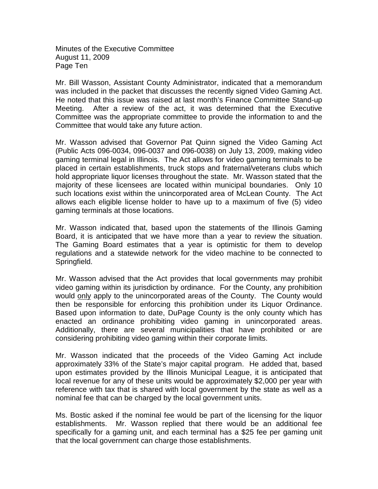Minutes of the Executive Committee August 11, 2009 Page Ten

Mr. Bill Wasson, Assistant County Administrator, indicated that a memorandum was included in the packet that discusses the recently signed Video Gaming Act. He noted that this issue was raised at last month's Finance Committee Stand-up Meeting. After a review of the act, it was determined that the Executive Committee was the appropriate committee to provide the information to and the Committee that would take any future action.

Mr. Wasson advised that Governor Pat Quinn signed the Video Gaming Act (Public Acts 096-0034, 096-0037 and 096-0038) on July 13, 2009, making video gaming terminal legal in Illinois. The Act allows for video gaming terminals to be placed in certain establishments, truck stops and fraternal/veterans clubs which hold appropriate liquor licenses throughout the state. Mr. Wasson stated that the majority of these licensees are located within municipal boundaries. Only 10 such locations exist within the unincorporated area of McLean County. The Act allows each eligible license holder to have up to a maximum of five (5) video gaming terminals at those locations.

Mr. Wasson indicated that, based upon the statements of the Illinois Gaming Board, it is anticipated that we have more than a year to review the situation. The Gaming Board estimates that a year is optimistic for them to develop regulations and a statewide network for the video machine to be connected to Springfield.

Mr. Wasson advised that the Act provides that local governments may prohibit video gaming within its jurisdiction by ordinance. For the County, any prohibition would only apply to the unincorporated areas of the County. The County would then be responsible for enforcing this prohibition under its Liquor Ordinance. Based upon information to date, DuPage County is the only county which has enacted an ordinance prohibiting video gaming in unincorporated areas. Additionally, there are several municipalities that have prohibited or are considering prohibiting video gaming within their corporate limits.

Mr. Wasson indicated that the proceeds of the Video Gaming Act include approximately 33% of the State's major capital program. He added that, based upon estimates provided by the Illinois Municipal League, it is anticipated that local revenue for any of these units would be approximately \$2,000 per year with reference with tax that is shared with local government by the state as well as a nominal fee that can be charged by the local government units.

Ms. Bostic asked if the nominal fee would be part of the licensing for the liquor establishments. Mr. Wasson replied that there would be an additional fee specifically for a gaming unit, and each terminal has a \$25 fee per gaming unit that the local government can charge those establishments.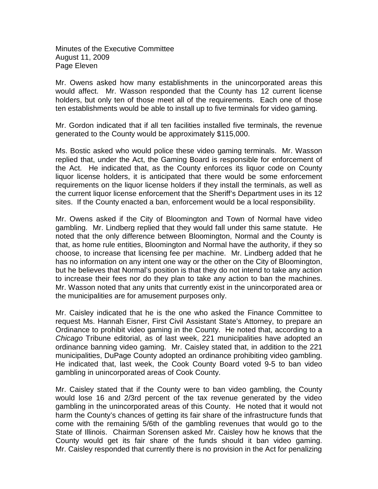Minutes of the Executive Committee August 11, 2009 Page Eleven

Mr. Owens asked how many establishments in the unincorporated areas this would affect. Mr. Wasson responded that the County has 12 current license holders, but only ten of those meet all of the requirements. Each one of those ten establishments would be able to install up to five terminals for video gaming.

Mr. Gordon indicated that if all ten facilities installed five terminals, the revenue generated to the County would be approximately \$115,000.

Ms. Bostic asked who would police these video gaming terminals. Mr. Wasson replied that, under the Act, the Gaming Board is responsible for enforcement of the Act. He indicated that, as the County enforces its liquor code on County liquor license holders, it is anticipated that there would be some enforcement requirements on the liquor license holders if they install the terminals, as well as the current liquor license enforcement that the Sheriff's Department uses in its 12 sites. If the County enacted a ban, enforcement would be a local responsibility.

Mr. Owens asked if the City of Bloomington and Town of Normal have video gambling. Mr. Lindberg replied that they would fall under this same statute. He noted that the only difference between Bloomington, Normal and the County is that, as home rule entities, Bloomington and Normal have the authority, if they so choose, to increase that licensing fee per machine. Mr. Lindberg added that he has no information on any intent one way or the other on the City of Bloomington, but he believes that Normal's position is that they do not intend to take any action to increase their fees nor do they plan to take any action to ban the machines. Mr. Wasson noted that any units that currently exist in the unincorporated area or the municipalities are for amusement purposes only.

Mr. Caisley indicated that he is the one who asked the Finance Committee to request Ms. Hannah Eisner, First Civil Assistant State's Attorney, to prepare an Ordinance to prohibit video gaming in the County. He noted that, according to a *Chicago* Tribune editorial, as of last week, 221 municipalities have adopted an ordinance banning video gaming. Mr. Caisley stated that, in addition to the 221 municipalities, DuPage County adopted an ordinance prohibiting video gambling. He indicated that, last week, the Cook County Board voted 9-5 to ban video gambling in unincorporated areas of Cook County.

Mr. Caisley stated that if the County were to ban video gambling, the County would lose 16 and 2/3rd percent of the tax revenue generated by the video gambling in the unincorporated areas of this County. He noted that it would not harm the County's chances of getting its fair share of the infrastructure funds that come with the remaining 5/6th of the gambling revenues that would go to the State of Illinois. Chairman Sorensen asked Mr. Caisley how he knows that the County would get its fair share of the funds should it ban video gaming. Mr. Caisley responded that currently there is no provision in the Act for penalizing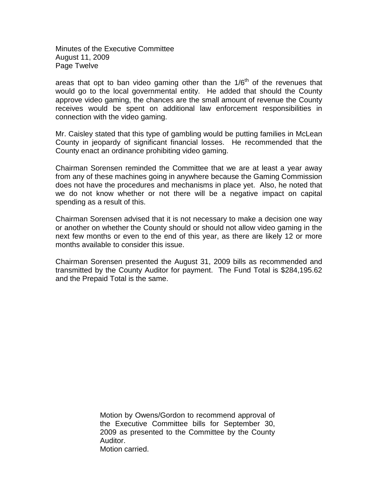Minutes of the Executive Committee August 11, 2009 Page Twelve

areas that opt to ban video gaming other than the  $1/6<sup>th</sup>$  of the revenues that would go to the local governmental entity. He added that should the County approve video gaming, the chances are the small amount of revenue the County receives would be spent on additional law enforcement responsibilities in connection with the video gaming.

Mr. Caisley stated that this type of gambling would be putting families in McLean County in jeopardy of significant financial losses. He recommended that the County enact an ordinance prohibiting video gaming.

Chairman Sorensen reminded the Committee that we are at least a year away from any of these machines going in anywhere because the Gaming Commission does not have the procedures and mechanisms in place yet. Also, he noted that we do not know whether or not there will be a negative impact on capital spending as a result of this.

Chairman Sorensen advised that it is not necessary to make a decision one way or another on whether the County should or should not allow video gaming in the next few months or even to the end of this year, as there are likely 12 or more months available to consider this issue.

Chairman Sorensen presented the August 31, 2009 bills as recommended and transmitted by the County Auditor for payment. The Fund Total is \$284,195.62 and the Prepaid Total is the same.

> Motion by Owens/Gordon to recommend approval of the Executive Committee bills for September 30, 2009 as presented to the Committee by the County Auditor. Motion carried.